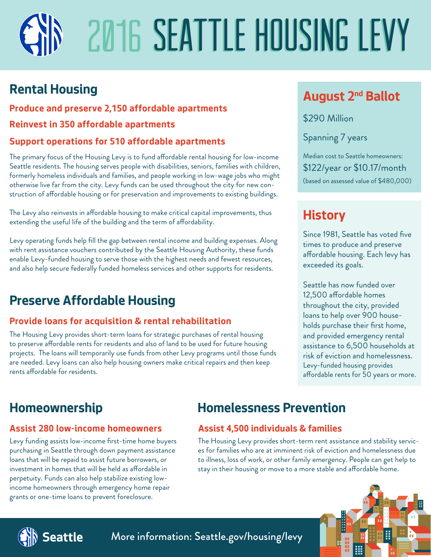# 2016 SEATTLE HOUSING LEVY

# **Rental Housing**

#### **Produce and preserve 2,150 affordable apartments**

#### **Reinvest in 350 affordable apartments**

#### **Support operations for 510 affordable apartments**

The primary focus of the Housing Levy is to fund affordable rental housing for low-income Seattle residents. The housing serves people with disabilities, seniors, families with children, formerly homeless individuals and families, and people working in low-wage jobs who might otherwise live far from the city. Levy funds can be used throughout the city for new construction of affordable housing or for preservation and improvements to existing buildings.

The Levy also reinvests in affordable housing to make critical capital improvements, thus extending the useful life of the building and the term of affordability.

Levy operating funds help fill the gap between rental income and building expenses. Along with rent assistance vouchers contributed by the Seattle Housing Authority, these funds enable Levy-funded housing to serve those with the highest needs and fewest resources, and also help secure federally funded homeless services and other supports for residents.

# **Preserve Affordable Housing**

#### **Provide loans for acquisition & rental rehabilitation**

The Housing Levy provides short-term loans for strategic purchases of rental housing to preserve affordable rents for residents and also of land to be used for future housing projects. The loans will temporarily use funds from other Levy programs until those funds are needed. Levy loans can also help housing owners make critical repairs and then keep rents affordable for residents.

### **August 2nd Ballot**

\$290 Million

Spanning 7 years

Median cost to Seattle homeowners: \$122/year or \$10.17/month (based on assessed value of \$480,000)

## **History**

Since 1981, Seattle has voted five times to produce and preserve affordable housing. Each levy has exceeded its goals.

Seattle has now funded over 12,500 affordable homes throughout the city, provided loans to help over 900 households purchase their first home, and provided emergency rental assistance to 6,500 households at risk of eviction and homelessness. Levy-funded housing provides affordable rents for 50 years or more.

#### **Assist 280 low-income homeowners**

Levy funding assists low-income first-time home buyers purchasing in Seattle through down payment assistance loans that will be repaid to assist future borrowers, or investment in homes that will be held as affordable in perpetuity. Funds can also help stabilize existing lowincome homeowners through emergency home repair grants or one-time loans to prevent foreclosure.

# **Homeownership Homelessness Prevention**

#### **Assist 4,500 individuals & families**

The Housing Levy provides short-term rent assistance and stability services for families who are at imminent risk of eviction and homelessness due to illness, loss of work, or other family emergency. People can get help to stay in their housing or move to a more stable and affordable home.



More information: Seattle.gov/housing/levy